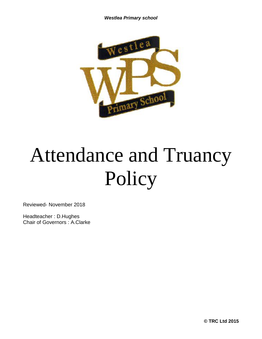*Westlea Primary school*



# Attendance and Truancy Policy

Reviewed- November 2018

Headteacher : D.Hughes Chair of Governors : A.Clarke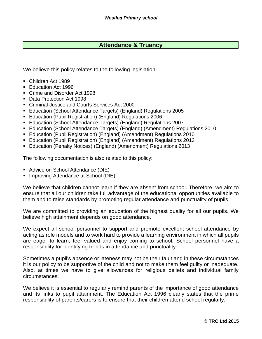# **Attendance & Truancy**

We believe this policy relates to the following legislation:

- Children Act 1989
- Education Act 1996
- Crime and Disorder Act 1998
- Data Protection Act 1998
- Criminal Justice and Courts Services Act 2000
- Education (School Attendance Targets) (England) Regulations 2005
- Education (Pupil Registration) (England) Regulations 2006
- Education (School Attendance Targets) (England) Regulations 2007
- Education (School Attendance Targets) (England) (Amendment) Regulations 2010
- Education (Pupil Registration) (England) (Amendment) Regulations 2010
- Education (Pupil Registration) (England) (Amendment) Regulations 2013
- Education (Penalty Notices) (England) (Amendment) Regulations 2013

The following documentation is also related to this policy:

- Advice on School Attendance (DfE)
- Improving Attendance at School (DfE)

We believe that children cannot learn if they are absent from school. Therefore, we aim to ensure that all our children take full advantage of the educational opportunities available to them and to raise standards by promoting regular attendance and punctuality of pupils.

We are committed to providing an education of the highest quality for all our pupils. We believe high attainment depends on good attendance.

We expect all school personnel to support and promote excellent school attendance by acting as role models and to work hard to provide a learning environment in which all pupils are eager to learn, feel valued and enjoy coming to school. School personnel have a responsibility for identifying trends in attendance and punctuality.

Sometimes a pupil's absence or lateness may not be their fault and in these circumstances it is our policy to be supportive of the child and not to make them feel guilty or inadequate. Also, at times we have to give allowances for religious beliefs and individual family circumstances.

We believe it is essential to regularly remind parents of the importance of good attendance and its links to pupil attainment. The Education Act 1996 clearly states that the prime responsibility of parents/carers is to ensure that their children attend school regularly.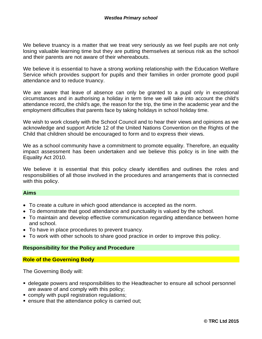We believe truancy is a matter that we treat very seriously as we feel pupils are not only losing valuable learning time but they are putting themselves at serious risk as the school and their parents are not aware of their whereabouts.

We believe it is essential to have a strong working relationship with the Education Welfare Service which provides support for pupils and their families in order promote good pupil attendance and to reduce truancy.

We are aware that leave of absence can only be granted to a pupil only in exceptional circumstances and in authorising a holiday in term time we will take into account the child's attendance record, the child's age, the reason for the trip, the time in the academic year and the employment difficulties that parents face by taking holidays in school holiday time.

We wish to work closely with the School Council and to hear their views and opinions as we acknowledge and support Article 12 of the United Nations Convention on the Rights of the Child that children should be encouraged to form and to express their views.

We as a school community have a commitment to promote equality. Therefore, an equality impact assessment has been undertaken and we believe this policy is in line with the Equality Act 2010.

We believe it is essential that this policy clearly identifies and outlines the roles and responsibilities of all those involved in the procedures and arrangements that is connected with this policy.

#### **Aims**

- To create a culture in which good attendance is accepted as the norm.
- To demonstrate that good attendance and punctuality is valued by the school.
- To maintain and develop effective communication regarding attendance between home and school.
- To have in place procedures to prevent truancy.
- To work with other schools to share good practice in order to improve this policy.

#### **Responsibility for the Policy and Procedure**

#### **Role of the Governing Body**

The Governing Body will:

- **delegate powers and responsibilities to the Headteacher to ensure all school personnel** are aware of and comply with this policy;
- **E** comply with pupil registration regulations;
- ensure that the attendance policy is carried out;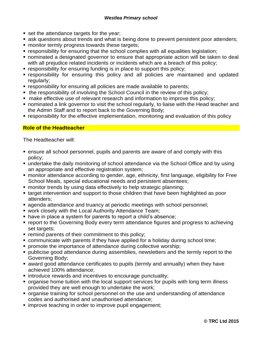- set the attendance targets for the year;
- ask questions about trends and what is being done to prevent persistent poor attenders;
- monitor termly progress towards these targets;
- responsibility for ensuring that the school complies with all equalities legislation;
- nominated a designated governor to ensure that appropriate action will be taken to deal with all prejudice related incidents or incidents which are a breach of this policy;
- responsibility for ensuring funding is in place to support this policy;
- responsibility for ensuring this policy and all policies are maintained and updated regularly:
- responsibility for ensuring all policies are made available to parents;
- the responsibility of involving the School Council in the review of this policy;
- make effective use of relevant research and information to improve this policy;
- nominated a link governor to visit the school regularly, to liaise with the Head teacher and the Admin Staff and to report back to the Governing Body;
- responsibility for the effective implementation, monitoring and evaluation of this policy

## **Role of the Headteacher**

The Headteacher will:

- ensure all school personnel, pupils and parents are aware of and comply with this policy;
- undertake the daily monitoring of school attendance via the School Office and by using an appropriate and effective registration system;
- monitor attendance according to gender, age, ethnicity, first language, eligibility for Free School Meals, special educational needs and persistent absentees;
- monitor trends by using data effectively to help strategic planning;
- target intervention and support to those children that have been highlighted as poor attenders;
- agenda attendance and truancy at periodic meetings with school personnel;
- work closely with the Local Authority Attendance Team;
- have in place a system for parents to report a child's absence;
- report to the Governing Body every term attendance figures and progress to achieving set targets;
- remind parents of their commitment to this policy;
- communicate with parents if they have applied for a holiday during school time;
- **promote the importance of attendance during collective worship;**
- publicise good attendance during assemblies, newsletters and the termly report to the Governing Body;
- award good attendance certificates to pupils (termly and annually) when they have achieved 100% attendance;
- introduce rewards and incentives to encourage punctuality;
- organise home tuition with the local support services for pupils with long term illness provided they are well enough to undertake the work;
- organise training for school personnel on the use and understanding of attendance codes and authorised and unauthorised attendance;
- improve teaching in order to improve pupil engagement;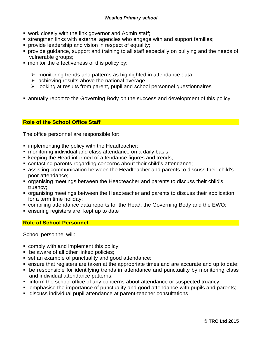- work closely with the link governor and Admin staff;
- **Extemation links with external agencies who engage with and support families;**
- **•** provide leadership and vision in respect of equality;
- provide guidance, support and training to all staff especially on bullying and the needs of vulnerable groups;
- monitor the effectiveness of this policy by:
	- $\triangleright$  monitoring trends and patterns as highlighted in attendance data
	- $\triangleright$  achieving results above the national average
	- ➢ looking at results from parent, pupil and school personnel questionnaires
- annually report to the Governing Body on the success and development of this policy

# **Role of the School Office Staff**

The office personnel are responsible for:

- **.** implementing the policy with the Headteacher;
- monitoring individual and class attendance on a daily basis;
- keeping the Head informed of attendance figures and trends;
- contacting parents regarding concerns about their child's attendance;
- assisting communication between the Headteacher and parents to discuss their child's poor attendance;
- organising meetings between the Headteacher and parents to discuss their child's truancy;
- organising meetings between the Headteacher and parents to discuss their application for a term time holiday;
- compiling attendance data reports for the Head, the Governing Body and the EWO;
- ensuring registers are kept up to date

## **Role of School Personnel**

School personnel will:

- comply with and implement this policy;
- be aware of all other linked policies;
- set an example of punctuality and good attendance;
- ensure that registers are taken at the appropriate times and are accurate and up to date;
- **be responsible for identifying trends in attendance and punctuality by monitoring class** and individual attendance patterns;
- inform the school office of any concerns about attendance or suspected truancy;
- emphasise the importance of punctuality and good attendance with pupils and parents;
- discuss individual pupil attendance at parent-teacher consultations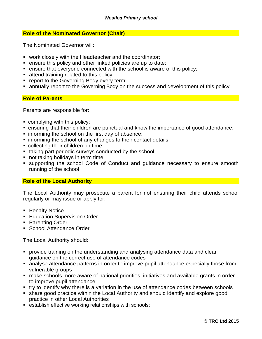#### **Role of the Nominated Governor (Chair)**

The Nominated Governor will:

- work closely with the Headteacher and the coordinator;
- ensure this policy and other linked policies are up to date;
- ensure that everyone connected with the school is aware of this policy:
- attend training related to this policy;
- **report to the Governing Body every term;**
- **EX annually report to the Governing Body on the success and development of this policy**

#### **Role of Parents**

Parents are responsible for:

- complying with this policy;
- ensuring that their children are punctual and know the importance of good attendance;
- informing the school on the first day of absence;
- **.** informing the school of any changes to their contact details;
- collecting their children on time
- taking part periodic surveys conducted by the school;
- not taking holidays in term time;
- supporting the school Code of Conduct and guidance necessary to ensure smooth running of the school

#### **Role of the Local Authority**

The Local Authority may prosecute a parent for not ensuring their child attends school regularly or may issue or apply for:

- Penalty Notice
- **Education Supervision Order**
- Parenting Order
- School Attendance Order

The Local Authority should:

- provide training on the understanding and analysing attendance data and clear guidance on the correct use of attendance codes
- analyse attendance patterns in order to improve pupil attendance especially those from vulnerable groups
- make schools more aware of national priorities, initiatives and available grants in order to improve pupil attendance
- try to identify why there is a variation in the use of attendance codes between schools
- share good practice within the Local Authority and should identify and explore good practice in other Local Authorities
- establish effective working relationships with schools;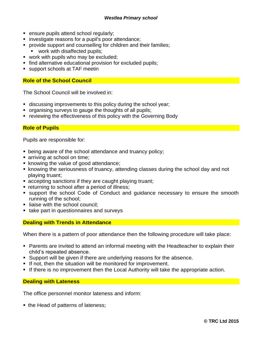- ensure pupils attend school regularly;
- investigate reasons for a pupil's poor attendance;
- provide support and counselling for children and their families;
	- work with disaffected pupils;
- work with pupils who may be excluded;
- find alternative educational provision for excluded pupils;
- support schools at TAF meetin

#### **Role of the School Council**

The School Council will be involved in:

- discussing improvements to this policy during the school year;
- organising surveys to gauge the thoughts of all pupils;
- reviewing the effectiveness of this policy with the Governing Body

#### **Role of Pupils**

Pupils are responsible for:

- being aware of the school attendance and truancy policy;
- arriving at school on time;
- knowing the value of good attendance;
- knowing the seriousness of truancy, attending classes during the school day and not playing truant;
- accepting sanctions if they are caught playing truant;
- returning to school after a period of illness;
- support the school Code of Conduct and guidance necessary to ensure the smooth running of the school;
- **E** liaise with the school council;
- take part in questionnaires and surveys

#### **Dealing with Trends in Attendance**

When there is a pattern of poor attendance then the following procedure will take place:

- Parents are invited to attend an informal meeting with the Headteacher to explain their child's repeated absence.
- Support will be given if there are underlying reasons for the absence.
- **.** If not, then the situation will be monitored for improvement.
- **.** If there is no improvement then the Local Authority will take the appropriate action.

#### **Dealing with Lateness**

The office personnel monitor lateness and inform:

■ the Head of patterns of lateness;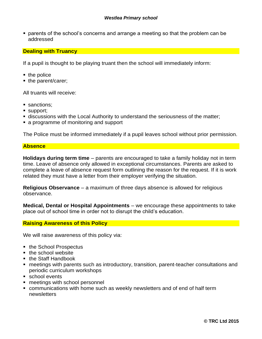■ parents of the school's concerns and arrange a meeting so that the problem can be addressed

#### **Dealing with Truancy**

If a pupil is thought to be playing truant then the school will immediately inform:

- the police
- the parent/carer;

All truants will receive:

- sanctions;
- support;
- discussions with the Local Authority to understand the seriousness of the matter;
- a programme of monitoring and support

The Police must be informed immediately if a pupil leaves school without prior permission.

#### **Absence**

**Holidays during term time** – parents are encouraged to take a family holiday not in term time. Leave of absence only allowed in exceptional circumstances. Parents are asked to complete a leave of absence request form outlining the reason for the request. If it is work related they must have a letter from their employer verifying the situation.

**Religious Observance** – a maximum of three days absence is allowed for religious observance.

**Medical, Dental or Hospital Appointments** – we encourage these appointments to take place out of school time in order not to disrupt the child's education.

#### **Raising Awareness of this Policy**

We will raise awareness of this policy via:

- the School Prospectus
- $\blacksquare$  the school website
- the Staff Handbook
- meetings with parents such as introductory, transition, parent-teacher consultations and periodic curriculum workshops
- school events
- meetings with school personnel
- communications with home such as weekly newsletters and of end of half term newsletters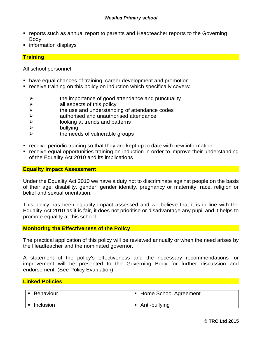- reports such as annual report to parents and Headteacher reports to the Governing Body
- information displays

#### **Training**

All school personnel:

- have equal chances of training, career development and promotion
- receive training on this policy on induction which specifically covers:
	- $\triangleright$  the importance of good attendance and punctuality
	- $\triangleright$  all aspects of this policy
	- $\triangleright$  the use and understanding of attendance codes
	- ➢ authorised and unauthorised attendance
	- ➢ looking at trends and patterns
	- ➢ bullying
	- the needs of vulnerable groups
- receive periodic training so that they are kept up to date with new information
- receive equal opportunities training on induction in order to improve their understanding of the Equality Act 2010 and its implications

#### **Equality Impact Assessment**

Under the Equality Act 2010 we have a duty not to discriminate against people on the basis of their age, disability, gender, gender identity, pregnancy or maternity, race, religion or belief and sexual orientation.

This policy has been equality impact assessed and we believe that it is in line with the Equality Act 2010 as it is fair, it does not prioritise or disadvantage any pupil and it helps to promote equality at this school.

#### **Monitoring the Effectiveness of the Policy**

The practical application of this policy will be reviewed annually or when the need arises by the Headteacher and the nominated governor.

A statement of the policy's effectiveness and the necessary recommendations for improvement will be presented to the Governing Body for further discussion and endorsement. (See Policy Evaluation)

#### **Linked Policies**

| Behaviour | • Home School Agreement |
|-----------|-------------------------|
| Inclusion | Anti-bullying           |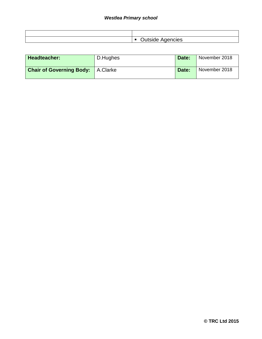| Agencies ·<br>⊶י<br><b>OULSIUG</b> |
|------------------------------------|

| Headteacher:                               | D.Hughes | Date: | November 2018 |
|--------------------------------------------|----------|-------|---------------|
| <b>Chair of Governing Body:</b>   A.Clarke |          | Date: | November 2018 |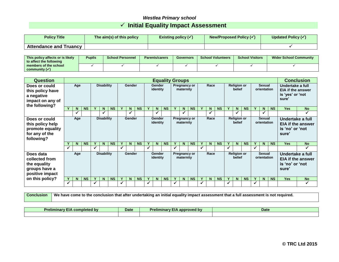# *Westlea Primary school* ✓ **Initial Equality Impact Assessment**

| <b>Policy Title</b>           | The aim(s) of this policy | Existing policy $(\checkmark)$ | New/Proposed Policy $(\checkmark)$ | <b>Updated Policy (√</b> |
|-------------------------------|---------------------------|--------------------------------|------------------------------------|--------------------------|
| <b>Attendance and Truancy</b> |                           |                                |                                    |                          |

| │ This policv affects or is likelv │<br>to affect the following | <b>Pupils</b> | <b>School Personnel</b> | <b>Parents/carers</b> | <b>Governors</b> | <b>School Volunteers</b> | <b>School Visitors</b> | <b>Wider School Community</b> |  |
|-----------------------------------------------------------------|---------------|-------------------------|-----------------------|------------------|--------------------------|------------------------|-------------------------------|--|
| members of the school                                           |               |                         |                       |                  |                          |                        |                               |  |
| community $(\checkmark)$                                        |               |                         |                       |                  |                          |                        |                               |  |

| <b>Question</b>                                                                       |                          | <b>Equality Groups</b> |                                                          |   |                                     |           |                           |   |                                   |                              |                              |                              |                              |    | <b>Conclusion</b> |                                                                           |                              |                                              |                          |              |           |              |    |           |            |           |
|---------------------------------------------------------------------------------------|--------------------------|------------------------|----------------------------------------------------------|---|-------------------------------------|-----------|---------------------------|---|-----------------------------------|------------------------------|------------------------------|------------------------------|------------------------------|----|-------------------|---------------------------------------------------------------------------|------------------------------|----------------------------------------------|--------------------------|--------------|-----------|--------------|----|-----------|------------|-----------|
| Does or could<br>this policy have<br>a negative<br>impact on any of<br>the following? | Age                      |                        | <b>Disability</b><br><b>Gender</b><br>Gender<br>identity |   | <b>Pregnancy or</b><br>maternity    |           | Race                      |   |                                   | <b>Religion or</b><br>belief |                              |                              | <b>Sexual</b><br>orientation |    |                   | Undertake a full<br><b>EIA if the answer</b><br>is 'yes' or 'not<br>sure' |                              |                                              |                          |              |           |              |    |           |            |           |
|                                                                                       |                          | N                      | <b>NS</b>                                                |   | N                                   | <b>NS</b> |                           | N | <b>NS</b>                         |                              | N.                           | <b>NS</b>                    |                              | N. | <b>NS</b>         | Y                                                                         | N                            | <b>NS</b>                                    |                          | N            | <b>NS</b> |              | N  | <b>NS</b> | <b>Yes</b> | <b>No</b> |
|                                                                                       |                          | ✔                      |                                                          |   | $\checkmark$                        |           |                           |   |                                   |                              |                              |                              |                              |    |                   |                                                                           | $\checkmark$                 |                                              |                          | $\checkmark$ |           |              |    |           |            | ✔         |
| Does or could<br>this policy help<br>promote equality<br>for any of the<br>following? | Age                      |                        | <b>Disability</b><br>Gender                              |   | Gender<br>identity                  |           | Pregnancy or<br>maternity |   | Race                              |                              | <b>Religion or</b><br>belief |                              | Sexual<br>orientation        |    |                   | Undertake a full<br>is 'no' or 'not<br>sure'                              | <b>EIA if the answer</b>     |                                              |                          |              |           |              |    |           |            |           |
|                                                                                       |                          | N                      | <b>NS</b>                                                | Y | $\mathbf N$                         | <b>NS</b> |                           | N | <b>NS</b>                         |                              | N.                           | <b>NS</b>                    | $\mathbf v$                  | N  | <b>NS</b>         | Y                                                                         | N <sub>1</sub>               | <b>NS</b>                                    |                          | N            | <b>NS</b> |              | N. | <b>NS</b> | <b>Yes</b> | <b>No</b> |
|                                                                                       | ✓                        |                        |                                                          | ✓ |                                     |           | $\checkmark$              |   |                                   | ✓                            |                              |                              | $\checkmark$                 |    |                   | $\checkmark$                                                              |                              |                                              | ✔                        |              |           | $\checkmark$ |    |           |            | ✓         |
| Does data<br>collected from<br>the equality<br>groups have a<br>positive impact       | <b>Disability</b><br>Age |                        |                                                          |   | Gender<br><b>Gender</b><br>identity |           |                           |   | Pregnancy or<br>Race<br>maternity |                              |                              | <b>Religion or</b><br>belief |                              |    |                   |                                                                           | <b>Sexual</b><br>orientation | Undertake a full<br>is 'no' or 'not<br>sure' | <b>EIA if the answer</b> |              |           |              |    |           |            |           |
| on this policy?                                                                       |                          | N                      | <b>NS</b>                                                |   | N                                   | <b>NS</b> |                           | N | <b>NS</b>                         |                              | N.                           | <b>NS</b>                    | Υ                            | N  | <b>NS</b>         | Y                                                                         | N                            | <b>NS</b>                                    |                          | N            | <b>NS</b> |              | N  | <b>NS</b> | <b>Yes</b> | <b>No</b> |
|                                                                                       | ✓                        |                        |                                                          | ✓ |                                     |           | ✓                         |   |                                   |                              |                              |                              | √                            |    |                   | ✓                                                                         |                              |                                              | ✓                        |              |           | ✓            |    |           |            | ✓         |

**Conclusion** We have come to the conclusion that after undertaking an initial equality impact assessment that a full assessment is not required.

| ---<br>.<br>completed by<br>Prelimina. | <b>Date</b> | .<br>.<br><b>Preliminary</b><br>approved<br>n nv | Date |
|----------------------------------------|-------------|--------------------------------------------------|------|
|                                        |             |                                                  |      |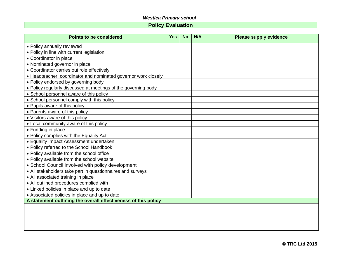# *Westlea Primary school*

# **Policy Evaluation**

| <b>Points to be considered</b>                                 | <b>Yes</b> | <b>No</b> | N/A | <b>Please supply evidence</b> |
|----------------------------------------------------------------|------------|-----------|-----|-------------------------------|
| • Policy annually reviewed                                     |            |           |     |                               |
| • Policy in line with current legislation                      |            |           |     |                               |
| • Coordinator in place                                         |            |           |     |                               |
| • Nominated governor in place                                  |            |           |     |                               |
| • Coordinator carries out role effectively                     |            |           |     |                               |
| • Headteacher, coordinator and nominated governor work closely |            |           |     |                               |
| • Policy endorsed by governing body                            |            |           |     |                               |
| . Policy regularly discussed at meetings of the governing body |            |           |     |                               |
| • School personnel aware of this policy                        |            |           |     |                               |
| • School personnel comply with this policy                     |            |           |     |                               |
| • Pupils aware of this policy                                  |            |           |     |                               |
| • Parents aware of this policy                                 |            |           |     |                               |
| • Visitors aware of this policy                                |            |           |     |                               |
| • Local community aware of this policy                         |            |           |     |                               |
| • Funding in place                                             |            |           |     |                               |
| • Policy complies with the Equality Act                        |            |           |     |                               |
| • Equality Impact Assessment undertaken                        |            |           |     |                               |
| • Policy referred to the School Handbook                       |            |           |     |                               |
| • Policy available from the school office                      |            |           |     |                               |
| • Policy available from the school website                     |            |           |     |                               |
| • School Council involved with policy development              |            |           |     |                               |
| • All stakeholders take part in questionnaires and surveys     |            |           |     |                               |
| • All associated training in place                             |            |           |     |                               |
| • All outlined procedures complied with                        |            |           |     |                               |
| • Linked policies in place and up to date                      |            |           |     |                               |
| • Associated policies in place and up to date                  |            |           |     |                               |
| A statement outlining the overall effectiveness of this policy |            |           |     |                               |
|                                                                |            |           |     |                               |